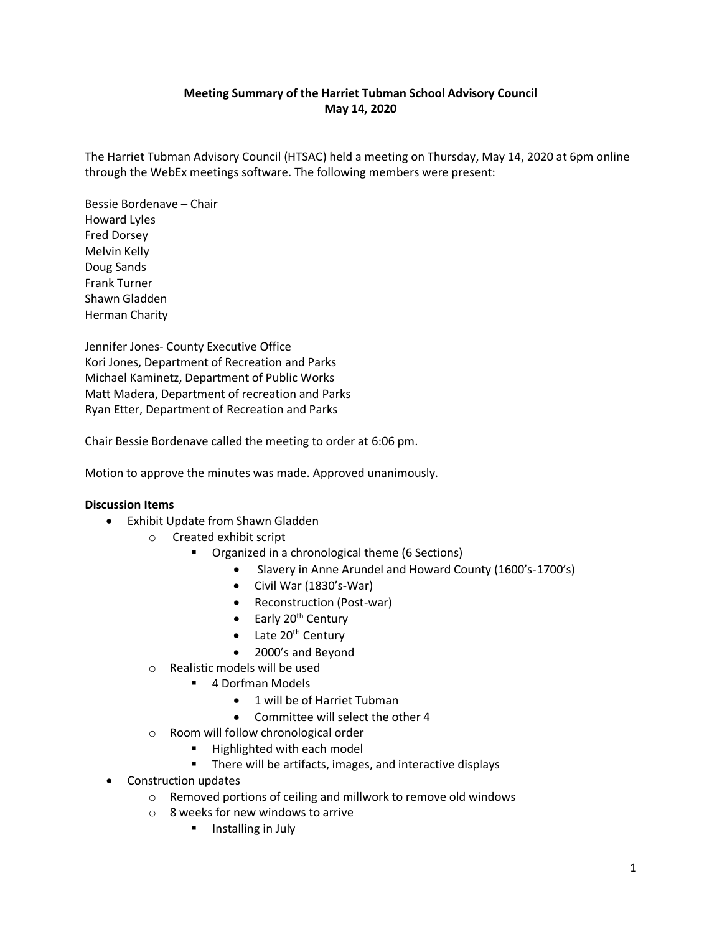# **Meeting Summary of the Harriet Tubman School Advisory Council May 14, 2020**

The Harriet Tubman Advisory Council (HTSAC) held a meeting on Thursday, May 14, 2020 at 6pm online through the WebEx meetings software. The following members were present:

Bessie Bordenave – Chair Howard Lyles Fred Dorsey Melvin Kelly Doug Sands Frank Turner Shawn Gladden Herman Charity

Jennifer Jones- County Executive Office Kori Jones, Department of Recreation and Parks Michael Kaminetz, Department of Public Works Matt Madera, Department of recreation and Parks Ryan Etter, Department of Recreation and Parks

Chair Bessie Bordenave called the meeting to order at 6:06 pm.

Motion to approve the minutes was made. Approved unanimously.

## **Discussion Items**

- Exhibit Update from Shawn Gladden
	- o Created exhibit script
		- Organized in a chronological theme (6 Sections)
			- Slavery in Anne Arundel and Howard County (1600's-1700's)
			- Civil War (1830's-War)
			- Reconstruction (Post-war)
			- $\bullet$  Early 20<sup>th</sup> Century
			- $\bullet$  Late 20<sup>th</sup> Century
			- 2000's and Beyond
	- o Realistic models will be used
		- 4 Dorfman Models
			- 1 will be of Harriet Tubman
			- Committee will select the other 4
	- o Room will follow chronological order
		- Highlighted with each model
		- **There will be artifacts, images, and interactive displays**
- Construction updates
	- o Removed portions of ceiling and millwork to remove old windows
	- o 8 weeks for new windows to arrive
		- **Installing in July**